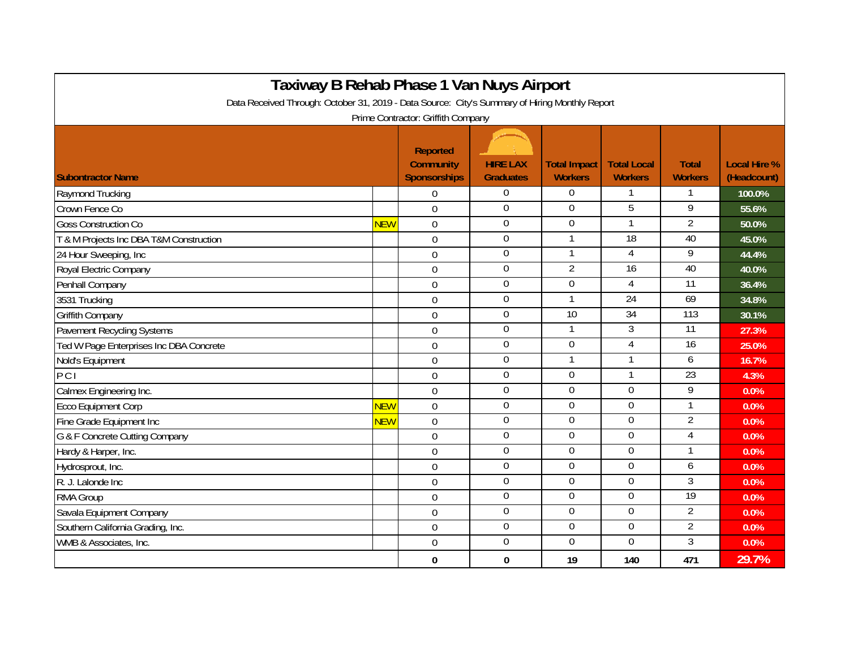| Taxiway B Rehab Phase 1 Van Nuys Airport<br>Data Received Through: October 31, 2019 - Data Source: City's Summary of Hiring Monthly Report<br>Prime Contractor: Griffith Company |            |                |                  |                |                 |                 |        |  |  |  |  |
|----------------------------------------------------------------------------------------------------------------------------------------------------------------------------------|------------|----------------|------------------|----------------|-----------------|-----------------|--------|--|--|--|--|
|                                                                                                                                                                                  |            |                |                  |                |                 |                 |        |  |  |  |  |
| Raymond Trucking                                                                                                                                                                 |            | $\Omega$       | $\Omega$         | $\Omega$       |                 |                 | 100.0% |  |  |  |  |
| Crown Fence Co                                                                                                                                                                   |            | $\mathbf 0$    | $\mathbf 0$      | $\overline{0}$ | 5               | 9               | 55.6%  |  |  |  |  |
| <b>Goss Construction Co</b>                                                                                                                                                      | <b>NEW</b> | $\mathbf 0$    | $\boldsymbol{0}$ | 0              | $\mathbf{1}$    | $\overline{2}$  | 50.0%  |  |  |  |  |
| T & M Projects Inc DBA T&M Construction                                                                                                                                          |            | 0              | $\overline{0}$   | $\mathbf{1}$   | 18              | 40              | 45.0%  |  |  |  |  |
| 24 Hour Sweeping, Inc                                                                                                                                                            |            | $\mathbf 0$    | $\boldsymbol{0}$ | 1              | 4               | $\overline{9}$  | 44.4%  |  |  |  |  |
| Royal Electric Company                                                                                                                                                           |            | $\overline{0}$ | $\mathbf 0$      | $\overline{2}$ | $\overline{16}$ | 40              | 40.0%  |  |  |  |  |
| Penhall Company                                                                                                                                                                  |            | $\overline{0}$ | $\mathbf 0$      | $\overline{0}$ | 4               | 11              | 36.4%  |  |  |  |  |
| 3531 Trucking                                                                                                                                                                    |            | $\Omega$       | $\overline{0}$   |                | 24              | 69              | 34.8%  |  |  |  |  |
| <b>Griffith Company</b>                                                                                                                                                          |            | $\overline{0}$ | $\boldsymbol{0}$ | 10             | 34              | 113             | 30.1%  |  |  |  |  |
| <b>Pavement Recycling Systems</b>                                                                                                                                                |            | $\mathbf 0$    | 0                | $\mathbf{1}$   | 3               | 11              | 27.3%  |  |  |  |  |
| Ted W Page Enterprises Inc DBA Concrete                                                                                                                                          |            | $\overline{0}$ | $\mathbf 0$      | $\overline{0}$ | 4               | $\overline{16}$ | 25.0%  |  |  |  |  |
| Nold's Equipment                                                                                                                                                                 |            | $\mathbf 0$    | $\boldsymbol{0}$ |                |                 | 6               | 16.7%  |  |  |  |  |
| PCI                                                                                                                                                                              |            | $\mathbf 0$    | $\boldsymbol{0}$ | 0              | $\mathbf{1}$    | $\overline{23}$ | 4.3%   |  |  |  |  |
| Calmex Engineering Inc.                                                                                                                                                          |            | $\mathbf 0$    | $\mathbf 0$      | $\overline{0}$ | 0               | 9               | 0.0%   |  |  |  |  |
| <b>Ecco Equipment Corp</b>                                                                                                                                                       | <b>NEW</b> | $\mathbf 0$    | $\boldsymbol{0}$ | $\mathbf 0$    | 0               | 1               | 0.0%   |  |  |  |  |
| Fine Grade Equipment Inc                                                                                                                                                         | <b>NEW</b> | $\overline{0}$ | $\overline{0}$   | $\overline{0}$ | $\overline{0}$  | $\overline{2}$  | 0.0%   |  |  |  |  |
| G & F Concrete Cutting Company                                                                                                                                                   |            | $\mathbf 0$    | $\boldsymbol{0}$ | 0              | $\overline{0}$  | 4               | 0.0%   |  |  |  |  |
| Hardy & Harper, Inc.                                                                                                                                                             |            | $\overline{0}$ | $\mathbf 0$      | $\overline{0}$ | $\overline{0}$  | 1               | 0.0%   |  |  |  |  |
| Hydrosprout, Inc.                                                                                                                                                                |            | 0              | $\boldsymbol{0}$ | $\Omega$       | 0               | 6               | 0.0%   |  |  |  |  |
| R. J. Lalonde Inc.                                                                                                                                                               |            | $\overline{0}$ | $\boldsymbol{0}$ | $\Omega$       | $\Omega$        | 3               | 0.0%   |  |  |  |  |
| RMA Group                                                                                                                                                                        |            | $\Omega$       | $\overline{0}$   | $\Omega$       | 0               | 19              | 0.0%   |  |  |  |  |
| Savala Equipment Company                                                                                                                                                         |            | $\mathbf 0$    | $\boldsymbol{0}$ | $\Omega$       | $\Omega$        | $\overline{2}$  | 0.0%   |  |  |  |  |
| Southern California Grading, Inc.                                                                                                                                                |            | $\mathbf 0$    | $\boldsymbol{0}$ | $\mathbf 0$    | $\mathbf 0$     | $\overline{2}$  | 0.0%   |  |  |  |  |
| WMB & Associates, Inc.                                                                                                                                                           |            | $\mathbf 0$    | $\boldsymbol{0}$ | 0              | 0               | 3               | 0.0%   |  |  |  |  |
|                                                                                                                                                                                  |            | 0              | $\bf{0}$         | 19             | 140             | 471             | 29.7%  |  |  |  |  |